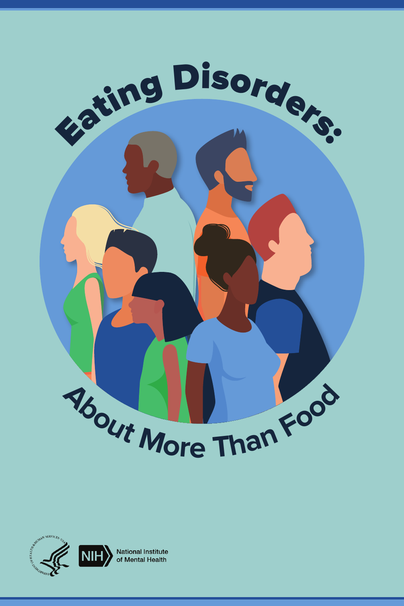

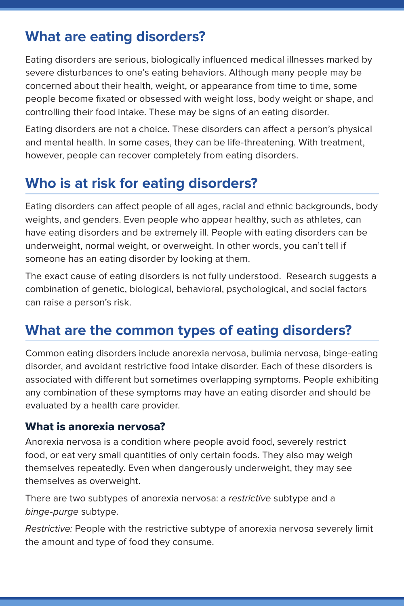# **What are eating disorders?**

Eating disorders are serious, biologically influenced medical illnesses marked by severe disturbances to one's eating behaviors. Although many people may be concerned about their health, weight, or appearance from time to time, some people become fixated or obsessed with weight loss, body weight or shape, and controlling their food intake. These may be signs of an eating disorder.

Eating disorders are not a choice. These disorders can affect a person's physical and mental health. In some cases, they can be life-threatening. With treatment, however, people can recover completely from eating disorders.

# **Who is at risk for eating disorders?**

Eating disorders can affect people of all ages, racial and ethnic backgrounds, body weights, and genders. Even people who appear healthy, such as athletes, can have eating disorders and be extremely ill. People with eating disorders can be underweight, normal weight, or overweight. In other words, you can't tell if someone has an eating disorder by looking at them.

The exact cause of eating disorders is not fully understood. Research suggests a combination of genetic, biological, behavioral, psychological, and social factors can raise a person's risk.

## **What are the common types of eating disorders?**

Common eating disorders include anorexia nervosa, bulimia nervosa, binge-eating disorder, and avoidant restrictive food intake disorder. Each of these disorders is associated with different but sometimes overlapping symptoms. People exhibiting any combination of these symptoms may have an eating disorder and should be evaluated by a health care provider.

#### What is anorexia nervosa?

Anorexia nervosa is a condition where people avoid food, severely restrict food, or eat very small quantities of only certain foods. They also may weigh themselves repeatedly. Even when dangerously underweight, they may see themselves as overweight.

There are two subtypes of anorexia nervosa: a restrictive subtype and a binge-purge subtype.

Restrictive: People with the restrictive subtype of anorexia nervosa severely limit the amount and type of food they consume.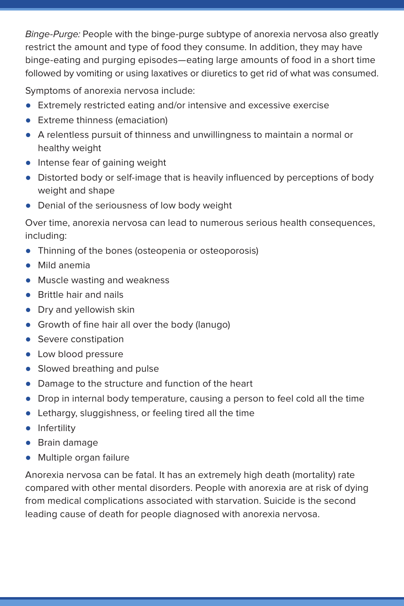Binge-Purge: People with the binge-purge subtype of anorexia nervosa also greatly restrict the amount and type of food they consume. In addition, they may have binge-eating and purging episodes—eating large amounts of food in a short time followed by vomiting or using laxatives or diuretics to get rid of what was consumed.

Symptoms of anorexia nervosa include:

- Extremely restricted eating and/or intensive and excessive exercise
- Extreme thinness (emaciation)
- A relentless pursuit of thinness and unwillingness to maintain a normal or healthy weight
- Intense fear of gaining weight
- Distorted body or self-image that is heavily influenced by perceptions of body weight and shape
- Denial of the seriousness of low body weight

Over time, anorexia nervosa can lead to numerous serious health consequences, including:

- Thinning of the bones (osteopenia or osteoporosis)
- Mild anemia
- Muscle wasting and weakness
- Brittle hair and nails
- Dry and yellowish skin
- Growth of fine hair all over the body (lanugo)
- Severe constipation
- Low blood pressure
- Slowed breathing and pulse
- Damage to the structure and function of the heart
- Drop in internal body temperature, causing a person to feel cold all the time
- Lethargy, sluggishness, or feeling tired all the time
- Infertility
- Brain damage
- Multiple organ failure

Anorexia nervosa can be fatal. It has an extremely high death (mortality) rate compared with other mental disorders. People with anorexia are at risk of dying from medical complications associated with starvation. Suicide is the second leading cause of death for people diagnosed with anorexia nervosa.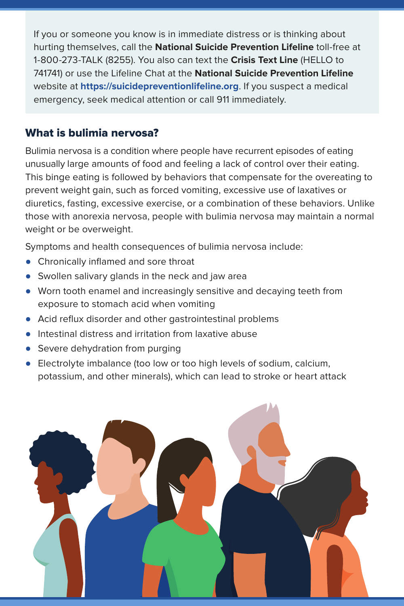If you or someone you know is in immediate distress or is thinking about hurting themselves, call the **National Suicide Prevention Lifeline** toll-free at 1-800-273-TALK (8255). You also can text the **Crisis Text Line** (HELLO to 741741) or use the Lifeline Chat at the **National Suicide Prevention Lifeline**  website at **<https://suicidepreventionlifeline.org>**. If you suspect a medical emergency, seek medical attention or call 911 immediately.

#### What is bulimia nervosa?

Bulimia nervosa is a condition where people have recurrent episodes of eating unusually large amounts of food and feeling a lack of control over their eating. This binge eating is followed by behaviors that compensate for the overeating to prevent weight gain, such as forced vomiting, excessive use of laxatives or diuretics, fasting, excessive exercise, or a combination of these behaviors. Unlike those with anorexia nervosa, people with bulimia nervosa may maintain a normal weight or be overweight.

Symptoms and health consequences of bulimia nervosa include:

- Chronically inflamed and sore throat
- Swollen salivary glands in the neck and jaw area
- Worn tooth enamel and increasingly sensitive and decaying teeth from exposure to stomach acid when vomiting
- Acid reflux disorder and other gastrointestinal problems
- Intestinal distress and irritation from laxative abuse
- Severe dehydration from purging
- Electrolyte imbalance (too low or too high levels of sodium, calcium, potassium, and other minerals), which can lead to stroke or heart attack

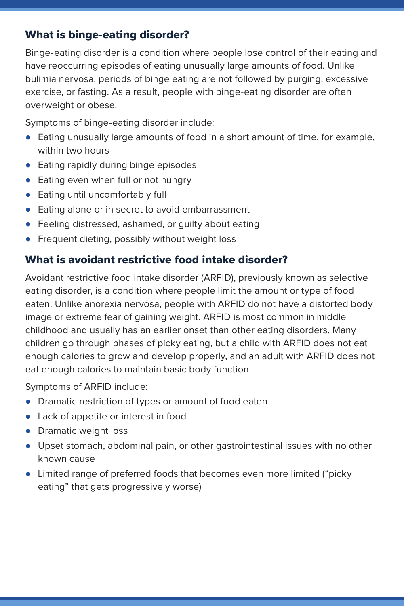### What is binge-eating disorder?

Binge-eating disorder is a condition where people lose control of their eating and have reoccurring episodes of eating unusually large amounts of food. Unlike bulimia nervosa, periods of binge eating are not followed by purging, excessive exercise, or fasting. As a result, people with binge-eating disorder are often overweight or obese.

Symptoms of binge-eating disorder include:

- Eating unusually large amounts of food in a short amount of time, for example, within two hours
- Eating rapidly during binge episodes
- Eating even when full or not hungry
- Eating until uncomfortably full
- Eating alone or in secret to avoid embarrassment
- Feeling distressed, ashamed, or quilty about eating
- Frequent dieting, possibly without weight loss

#### What is avoidant restrictive food intake disorder?

Avoidant restrictive food intake disorder (ARFID), previously known as selective eating disorder, is a condition where people limit the amount or type of food eaten. Unlike anorexia nervosa, people with ARFID do not have a distorted body image or extreme fear of gaining weight. ARFID is most common in middle childhood and usually has an earlier onset than other eating disorders. Many children go through phases of picky eating, but a child with ARFID does not eat enough calories to grow and develop properly, and an adult with ARFID does not eat enough calories to maintain basic body function.

Symptoms of ARFID include:

- Dramatic restriction of types or amount of food eaten
- Lack of appetite or interest in food
- Dramatic weight loss
- Upset stomach, abdominal pain, or other gastrointestinal issues with no other known cause
- Limited range of preferred foods that becomes even more limited ("picky eating" that gets progressively worse)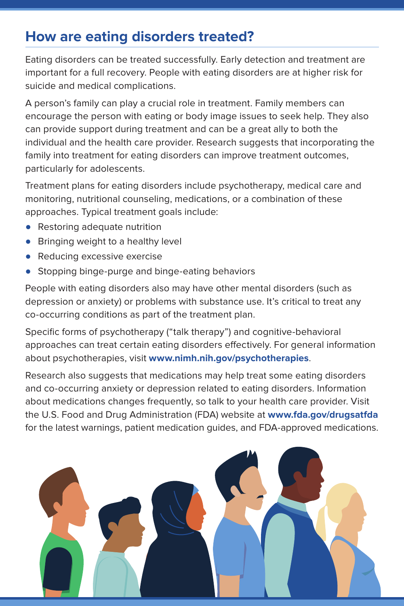# **How are eating disorders treated?**

Eating disorders can be treated successfully. Early detection and treatment are important for a full recovery. People with eating disorders are at higher risk for suicide and medical complications.

A person's family can play a crucial role in treatment. Family members can encourage the person with eating or body image issues to seek help. They also can provide support during treatment and can be a great ally to both the individual and the health care provider. Research suggests that incorporating the family into treatment for eating disorders can improve treatment outcomes, particularly for adolescents.

Treatment plans for eating disorders include psychotherapy, medical care and monitoring, nutritional counseling, medications, or a combination of these approaches. Typical treatment goals include:

- Restoring adequate nutrition
- Bringing weight to a healthy level
- Reducing excessive exercise
- Stopping binge-purge and binge-eating behaviors

People with eating disorders also may have other mental disorders (such as depression or anxiety) or problems with substance use. It's critical to treat any co-occurring conditions as part of the treatment plan.

Specific forms of psychotherapy ("talk therapy") and cognitive-behavioral approaches can treat certain eating disorders effectively. For general information about psychotherapies, visit **[www.nimh.nih.gov/psychotherapies](https://www.nimh.nih.gov/psychotherapies)**.

Research also suggests that medications may help treat some eating disorders and co-occurring anxiety or depression related to eating disorders. Information about medications changes frequently, so talk to your health care provider. Visit the U.S. Food and Drug Administration (FDA) website at **[www.fda.gov/drugsatfda](https://www.fda.gov/drugsatfda)** for the latest warnings, patient medication guides, and FDA-approved medications.

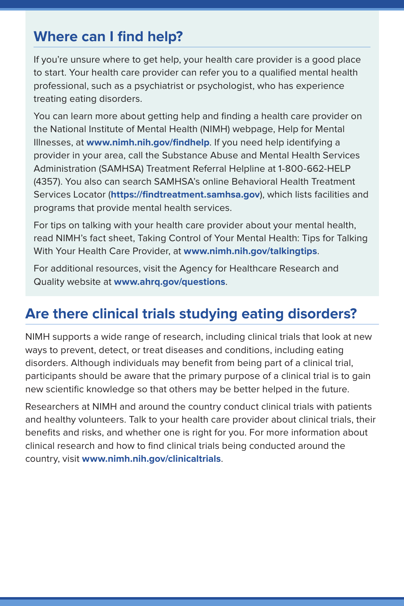## **Where can I find help?**

If you're unsure where to get help, your health care provider is a good place to start. Your health care provider can refer you to a qualified mental health professional, such as a psychiatrist or psychologist, who has experience treating eating disorders.

You can learn more about getting help and finding a health care provider on the National Institute of Mental Health (NIMH) webpage, Help for Mental Illnesses, at **[www.nimh.nih.gov/findhelp](https://nimh.nih.gov/findhelp)**. If you need help identifying a provider in your area, call the Substance Abuse and Mental Health Services Administration (SAMHSA) Treatment Referral Helpline at 1-800-662-HELP (4357). You also can search SAMHSA's online Behavioral Health Treatment Services Locator (**[https://findtreatment.samhsa.gov](https://findtreatment.samhsa.gov/)**), which lists facilities and programs that provide mental health services.

For tips on talking with your health care provider about your mental health, read NIMH's fact sheet, Taking Control of Your Mental Health: Tips for Talking With Your Health Care Provider, at **[www.nimh.nih.gov/talkingtips](https://nimh.nih.gov/talkingtips)**.

For additional resources, visit the Agency for Healthcare Research and Quality website at **[www.ahrq.gov/questions](https://www.ahrq.gov/questions)**.

# **Are there clinical trials studying eating disorders?**

NIMH supports a wide range of research, including clinical trials that look at new ways to prevent, detect, or treat diseases and conditions, including eating disorders. Although individuals may benefit from being part of a clinical trial, participants should be aware that the primary purpose of a clinical trial is to gain new scientific knowledge so that others may be better helped in the future.

Researchers at NIMH and around the country conduct clinical trials with patients and healthy volunteers. Talk to your health care provider about clinical trials, their benefits and risks, and whether one is right for you. For more information about clinical research and how to find clinical trials being conducted around the country, visit **[www.nimh.nih.gov/clinicaltrials](https://nimh.nih.gov/clinicaltrials)**.